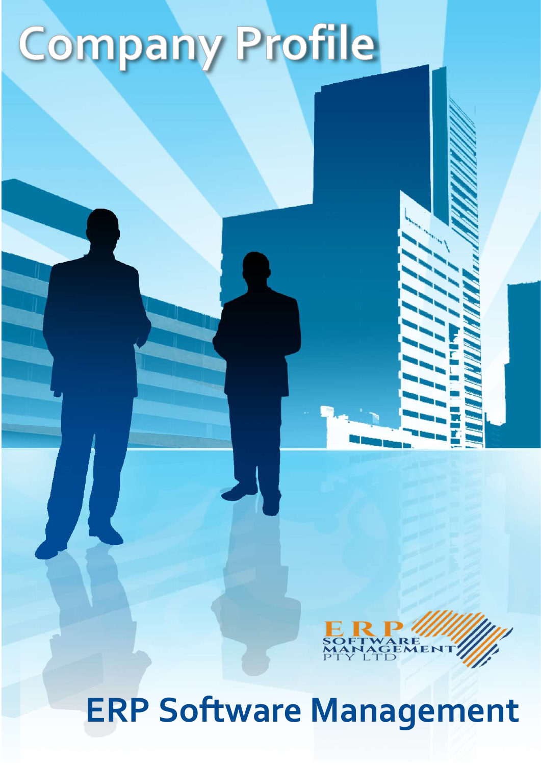# **Company Profile**



ERP Software Management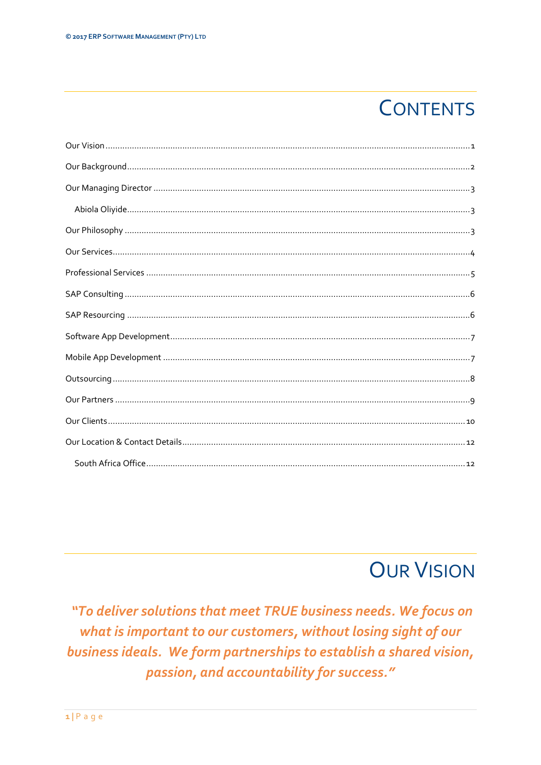# **CONTENTS**

## **OUR VISION**

"To deliver solutions that meet TRUE business needs. We focus on what is important to our customers, without losing sight of our business ideals. We form partnerships to establish a shared vision, passion, and accountability for success."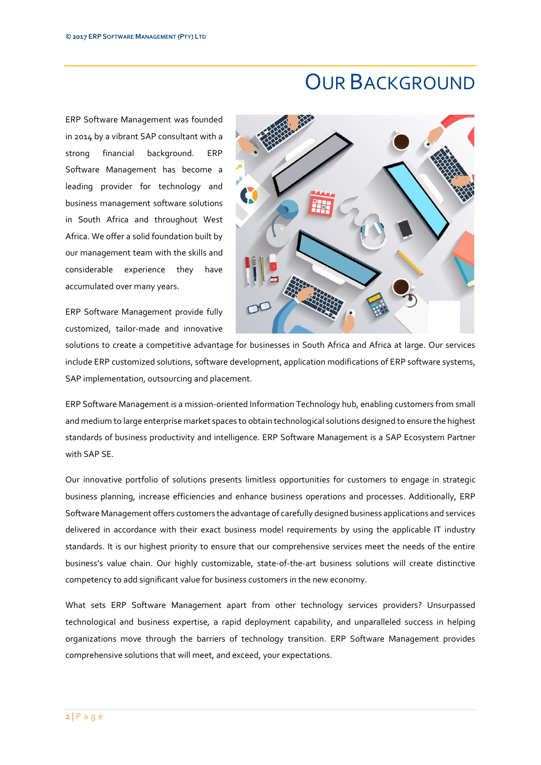#### OUR BACKGROUND

ERP Software Management was founded in 2014 by a vibrant SAP consultant with a strong financial background. ERP Software Management has become a leading provider for technology and business management software solutions in South Africa and throughout West Africa. We offer a solid foundation built by our management team with the skills and considerable experience they have accumulated over many years.

ERP Software Management provide fully customized, tailor-made and innovative



solutions to create a competitive advantage for businesses in South Africa and Africa at large. Our services include ERP customized solutions, software development, application modifications of ERP software systems, SAP implementation, 0utsourcing and placement.

ERP Software Management is a mission-oriented Information Technology hub, enabling customers from small and medium to large enterprise market spaces to obtain technological solutions designed to ensure the highest standards of business productivity and intelligence. ERP Software Management is a SAP Ecosystem Partner with SAP SE.

Our innovative portfolio of solutions presents limitless opportunities for customers to engage in strategic business planning, increase efficiencies and enhance business operations and processes. Additionally, ERP Software Management offers customers the advantage of carefully designed business applications and services delivered in accordance with their exact business model requirements by using the applicable IT industry standards. It is our highest priority to ensure that our comprehensive services meet the needs of the entire business's value chain. Our highly customizable, state-of-the-art business solutions will create distinctive competency to add significant value for business customers in the new economy.

What sets ERP Software Management apart from other technology services providers? Unsurpassed technological and business expertise, a rapid deployment capability, and unparalleled success in helping organizations move through the barriers of technology transition. ERP Software Management provides comprehensive solutions that will meet, and exceed, your expectations.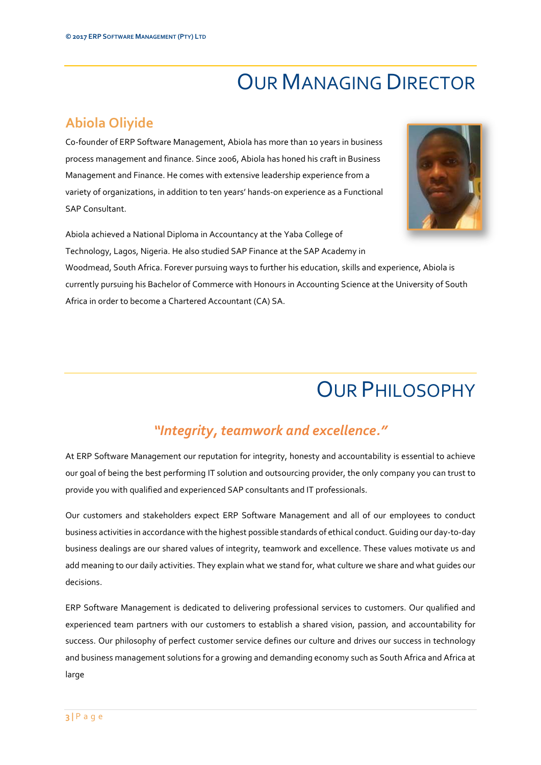## OUR MANAGING DIRECTOR

#### Abiola Oliyide

Co-founder of ERP Software Management, Abiola has more than 10 years in business process management and finance. Since 2006, Abiola has honed his craft in Business Management and Finance. He comes with extensive leadership experience from a variety of organizations, in addition to ten years' hands-on experience as a Functional SAP Consultant.



Abiola achieved a National Diploma in Accountancy at the Yaba College of Technology, Lagos, Nigeria. He also studied SAP Finance at the SAP Academy in

Woodmead, South Africa. Forever pursuing ways to further his education, skills and experience, Abiola is currently pursuing his Bachelor of Commerce with Honours in Accounting Science at the University of South Africa in order to become a Chartered Accountant (CA) SA.

#### OUR PHILOSOPHY

#### "Integrity, teamwork and excellence."

At ERP Software Management our reputation for integrity, honesty and accountability is essential to achieve our goal of being the best performing IT solution and outsourcing provider, the only company you can trust to provide you with qualified and experienced SAP consultants and IT professionals.

Our customers and stakeholders expect ERP Software Management and all of our employees to conduct business activities in accordance with the highest possible standards of ethical conduct. Guiding our day-to-day business dealings are our shared values of integrity, teamwork and excellence. These values motivate us and add meaning to our daily activities. They explain what we stand for, what culture we share and what guides our decisions.

ERP Software Management is dedicated to delivering professional services to customers. Our qualified and experienced team partners with our customers to establish a shared vision, passion, and accountability for success. Our philosophy of perfect customer service defines our culture and drives our success in technology and business management solutions for a growing and demanding economy such as South Africa and Africa at large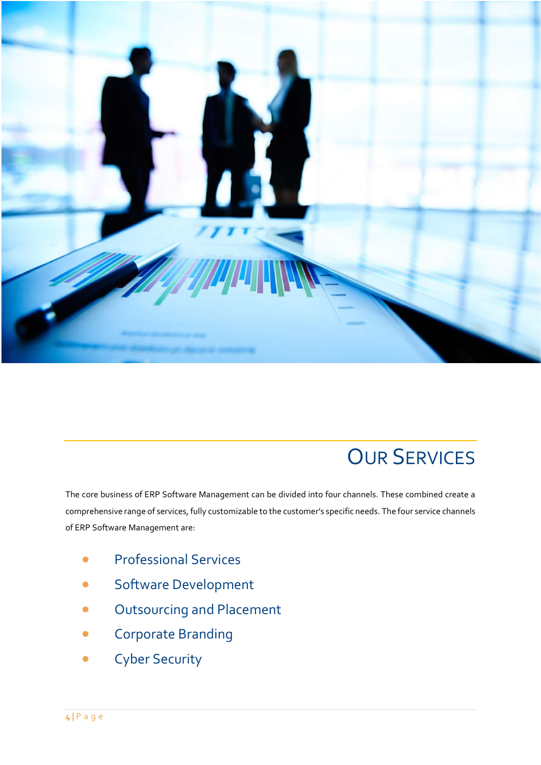

## **OUR SERVICES**

The core business of ERP Software Management can be divided into four channels. These combined create a comprehensive range of services, fully customizable to the customer's specific needs. The four service channels of ERP Software Management are:

- **•** Professional Services
- Software Development
- Outsourcing and Placement
- Corporate Branding
- **•** Cyber Security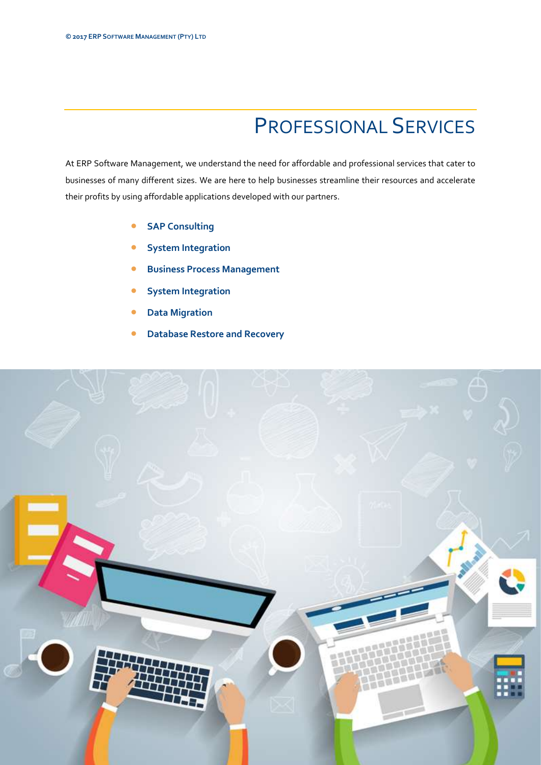# PROFESSIONAL SERVICES

At ERP Software Management, we understand the need for affordable and professional services that cater to businesses of many different sizes. We are here to help businesses streamline their resources and accelerate their profits by using affordable applications developed with our partners.

- **SAP Consulting**
- System Integration
- Business Process Management
- System Integration
- Data Migration
- Database Restore and Recovery

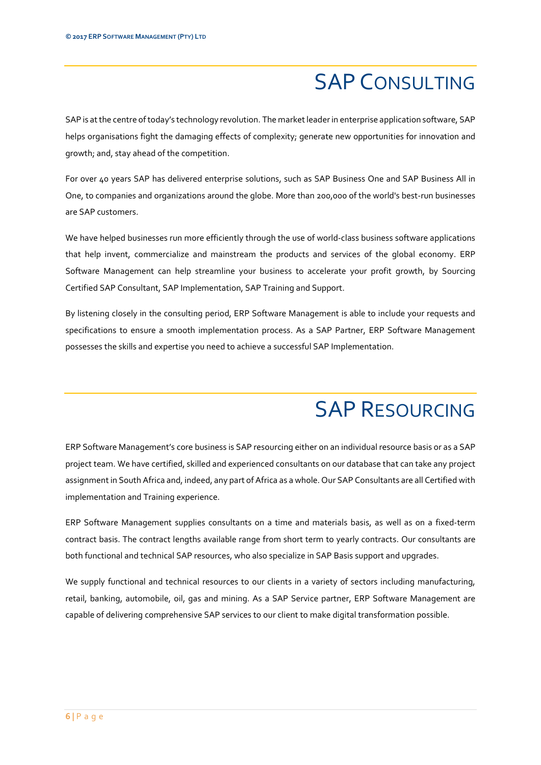## SAP CONSULTING

SAP is at the centre of today's technology revolution. The market leader in enterprise application software, SAP helps organisations fight the damaging effects of complexity; generate new opportunities for innovation and growth; and, stay ahead of the competition.

For over 40 years SAP has delivered enterprise solutions, such as SAP Business One and SAP Business All in One, to companies and organizations around the globe. More than 200,000 of the world's best-run businesses are SAP customers.

We have helped businesses run more efficiently through the use of world-class business software applications that help invent, commercialize and mainstream the products and services of the global economy. ERP Software Management can help streamline your business to accelerate your profit growth, by Sourcing Certified SAP Consultant, SAP Implementation, SAP Training and Support.

By listening closely in the consulting period, ERP Software Management is able to include your requests and specifications to ensure a smooth implementation process. As a SAP Partner, ERP Software Management possesses the skills and expertise you need to achieve a successful SAP Implementation.

#### SAP RESOURCING

ERP Software Management's core business is SAP resourcing either on an individual resource basis or as a SAP project team. We have certified, skilled and experienced consultants on our database that can take any project assignment in South Africa and, indeed, any part of Africa as a whole. Our SAP Consultants are all Certified with implementation and Training experience.

ERP Software Management supplies consultants on a time and materials basis, as well as on a fixed-term contract basis. The contract lengths available range from short term to yearly contracts. Our consultants are both functional and technical SAP resources, who also specialize in SAP Basis support and upgrades.

We supply functional and technical resources to our clients in a variety of sectors including manufacturing, retail, banking, automobile, oil, gas and mining. As a SAP Service partner, ERP Software Management are capable of delivering comprehensive SAP services to our client to make digital transformation possible.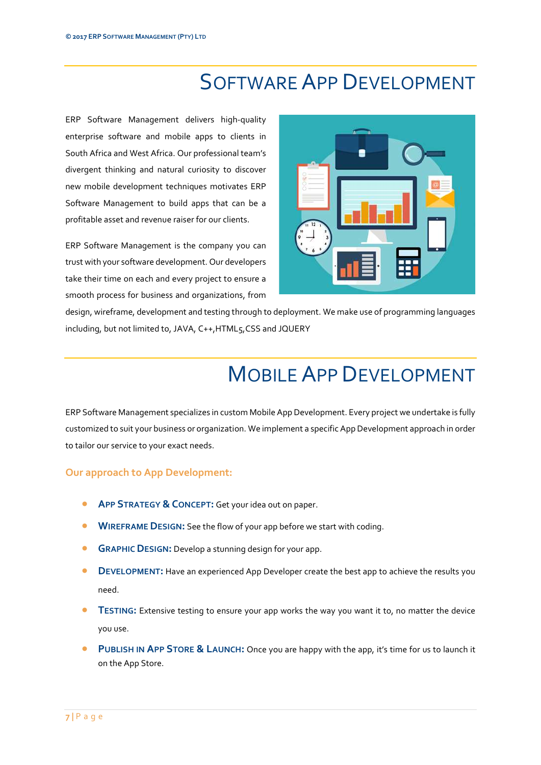#### SOFTWARE APP DEVELOPMENT

ERP Software Management delivers high-quality enterprise software and mobile apps to clients in South Africa and West Africa. Our professional team's divergent thinking and natural curiosity to discover new mobile development techniques motivates ERP Software Management to build apps that can be a profitable asset and revenue raiser for our clients.

ERP Software Management is the company you can trust with your software development. Our developers take their time on each and every project to ensure a smooth process for business and organizations, from



design, wireframe, development and testing through to deployment. We make use of programming languages including, but not limited to, JAVA, C++,HTML5,CSS and JQUERY

## MOBILE APP DEVELOPMENT

ERP Software Management specializes in custom Mobile App Development. Every project we undertake is fully customized to suit your business or organization. We implement a specific App Development approach in order to tailor our service to your exact needs.

#### Our approach to App Development:

- APP STRATEGY & CONCEPT: Get your idea out on paper.
- **WIREFRAME DESIGN:** See the flow of your app before we start with coding.
- **GRAPHIC DESIGN:** Develop a stunning design for your app.
- **DEVELOPMENT:** Have an experienced App Developer create the best app to achieve the results you need.
- TESTING: Extensive testing to ensure your app works the way you want it to, no matter the device you use.
- PUBLISH IN APP STORE & LAUNCH: Once you are happy with the app, it's time for us to launch it on the App Store.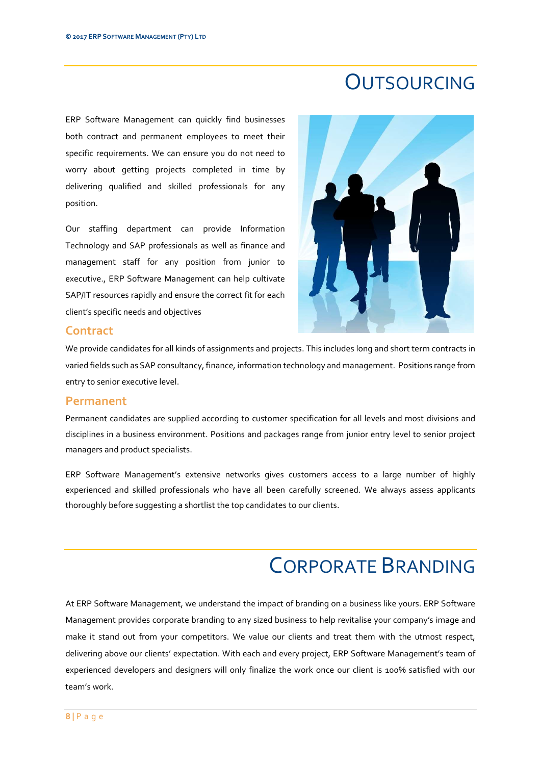#### **OUTSOURCING**

ERP Software Management can quickly find businesses both contract and permanent employees to meet their specific requirements. We can ensure you do not need to worry about getting projects completed in time by delivering qualified and skilled professionals for any position.

Our staffing department can provide Information Technology and SAP professionals as well as finance and management staff for any position from junior to executive., ERP Software Management can help cultivate SAP/IT resources rapidly and ensure the correct fit for each client's specific needs and objectives



#### **Contract**

We provide candidates for all kinds of assignments and projects. This includes long and short term contracts in varied fields such as SAP consultancy, finance, information technology and management. Positions range from entry to senior executive level.

#### Permanent

Permanent candidates are supplied according to customer specification for all levels and most divisions and disciplines in a business environment. Positions and packages range from junior entry level to senior project managers and product specialists.

ERP Software Management's extensive networks gives customers access to a large number of highly experienced and skilled professionals who have all been carefully screened. We always assess applicants thoroughly before suggesting a shortlist the top candidates to our clients.

#### CORPORATE BRANDING

At ERP Software Management, we understand the impact of branding on a business like yours. ERP Software Management provides corporate branding to any sized business to help revitalise your company's image and make it stand out from your competitors. We value our clients and treat them with the utmost respect, delivering above our clients' expectation. With each and every project, ERP Software Management's team of experienced developers and designers will only finalize the work once our client is 100% satisfied with our team's work.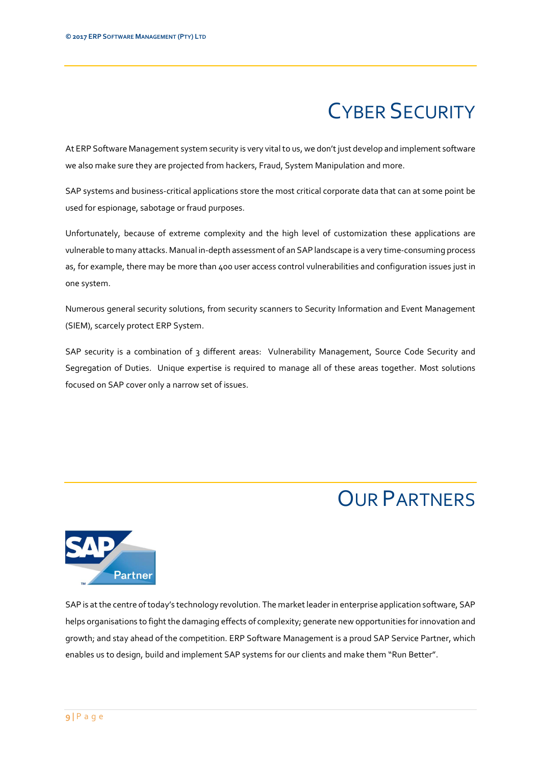# CYBER SECURITY

At ERP Software Management system security is very vital to us, we don't just develop and implement software we also make sure they are projected from hackers, Fraud, System Manipulation and more.

SAP systems and business-critical applications store the most critical corporate data that can at some point be used for espionage, sabotage or fraud purposes.

Unfortunately, because of extreme complexity and the high level of customization these applications are vulnerable to many attacks. Manual in-depth assessment of an SAP landscape is a very time-consuming process as, for example, there may be more than 400 user access control vulnerabilities and configuration issues just in one system.

Numerous general security solutions, from security scanners to Security Information and Event Management (SIEM), scarcely protect ERP System.

SAP security is a combination of 3 different areas: Vulnerability Management, Source Code Security and Segregation of Duties. Unique expertise is required to manage all of these areas together. Most solutions focused on SAP cover only a narrow set of issues.

#### OUR PARTNERS



SAP is at the centre of today's technology revolution. The market leader in enterprise application software, SAP helps organisations to fight the damaging effects of complexity; generate new opportunities for innovation and growth; and stay ahead of the competition. ERP Software Management is a proud SAP Service Partner, which enables us to design, build and implement SAP systems for our clients and make them "Run Better".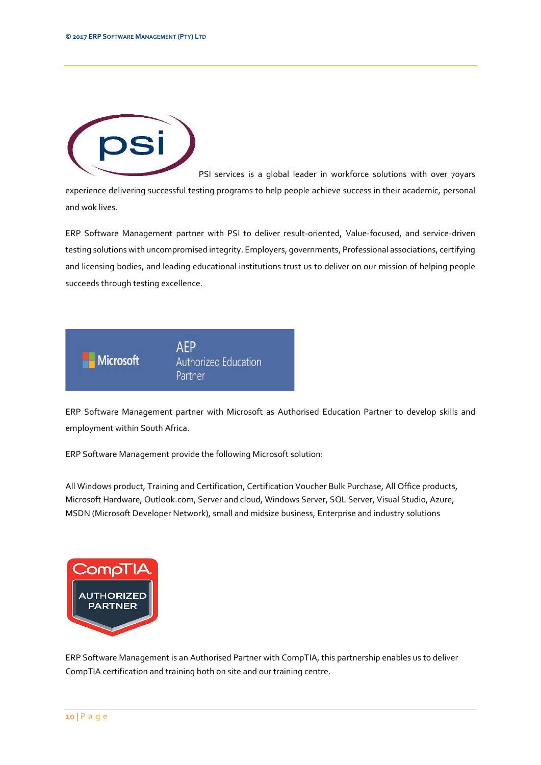

PSI services is a global leader in workforce solutions with over 70yars experience delivering successful testing programs to help people achieve success in their academic, personal and wok lives.

ERP Software Management partner with PSI to deliver result-oriented, Value-focused, and service-driven testing solutions with uncompromised integrity. Employers, governments, Professional associations, certifying and licensing bodies, and leading educational institutions trust us to deliver on our mission of helping people succeeds through testing excellence.



ERP Software Management partner with Microsoft as Authorised Education Partner to develop skills and employment within South Africa.

ERP Software Management provide the following Microsoft solution:

All Windows product, Training and Certification, Certification Voucher Bulk Purchase, All Office products, Microsoft Hardware, Outlook.com, Server and cloud, Windows Server, SQL Server, Visual Studio, Azure, MSDN (Microsoft Developer Network), small and midsize business, Enterprise and industry solutions



ERP Software Management is an Authorised Partner with CompTIA, this partnership enables us to deliver CompTIA certification and training both on site and our training centre.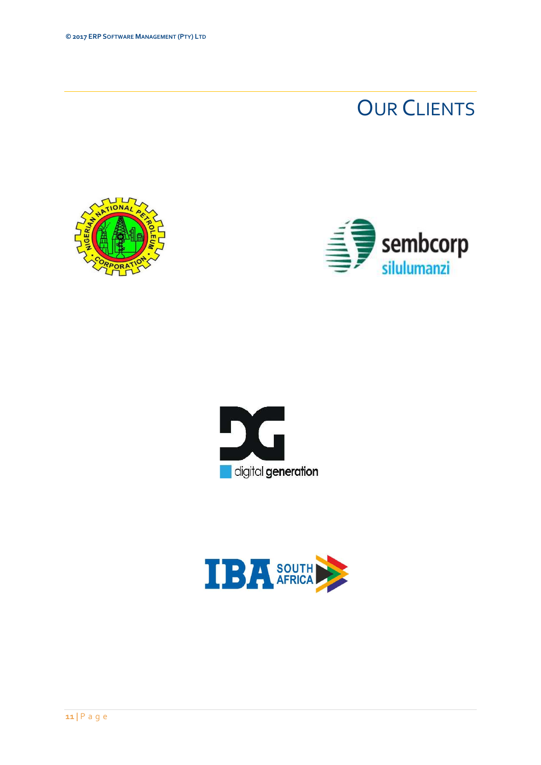## **OUR CLIENTS**